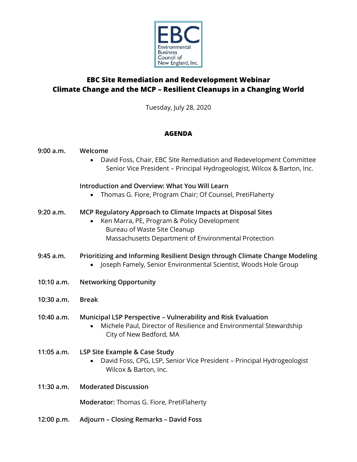

# **EBC Site Remediation and Redevelopment Webinar Climate Change and the MCP – Resilient Cleanups in a Changing World**

Tuesday, July 28, 2020

## **AGENDA**

| 9:00 a.m.  | Welcome<br>David Foss, Chair, EBC Site Remediation and Redevelopment Committee<br>Senior Vice President - Principal Hydrogeologist, Wilcox & Barton, Inc.                                           |
|------------|-----------------------------------------------------------------------------------------------------------------------------------------------------------------------------------------------------|
|            | <b>Introduction and Overview: What You Will Learn</b><br>Thomas G. Fiore, Program Chair; Of Counsel, PretiFlaherty                                                                                  |
| 9:20 a.m.  | MCP Regulatory Approach to Climate Impacts at Disposal Sites<br>Ken Marra, PE, Program & Policy Development<br>Bureau of Waste Site Cleanup<br>Massachusetts Department of Environmental Protection |
| 9:45 a.m.  | Prioritizing and Informing Resilient Design through Climate Change Modeling<br>Joseph Famely, Senior Environmental Scientist, Woods Hole Group                                                      |
| 10:10 a.m. | <b>Networking Opportunity</b>                                                                                                                                                                       |
| 10:30 a.m. | <b>Break</b>                                                                                                                                                                                        |
| 10:40 a.m. | Municipal LSP Perspective - Vulnerability and Risk Evaluation<br>Michele Paul, Director of Resilience and Environmental Stewardship<br>City of New Bedford, MA                                      |
| 11:05 a.m. | LSP Site Example & Case Study<br>David Foss, CPG, LSP, Senior Vice President - Principal Hydrogeologist<br>Wilcox & Barton, Inc.                                                                    |
| 11:30 a.m. | <b>Moderated Discussion</b>                                                                                                                                                                         |
|            | Moderator: Thomas G. Fiore, PretiFlaherty                                                                                                                                                           |
| 12:00 p.m. | <b>Adjourn - Closing Remarks - David Foss</b>                                                                                                                                                       |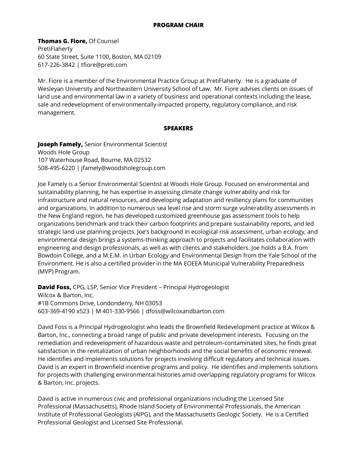#### **PROGRAM CHAIR**

**Thomas G. Fiore,** Of Counsel PretiFlaherty 60 State Street, Suite 1100, Boston, MA 02109 617-226-3842 | tfiore@preti.com

Mr. Fiore is a member of the Environmental Practice Group at PretiFlaherty. He is a graduate of Wesleyan University and Northeastern University School of Law. Mr. Fiore advises clients on issues of land use and environmental law in a variety of business and operational contexts including the lease, sale and redevelopment of environmentally-impacted property, regulatory compliance, and risk management.

#### **SPEAKERS**

**Joseph Famely,** Senior Environmental Scientist Woods Hole Group 107 Waterhouse Road, Bourne, MA 02532 508-495-6220 | jfamely@woodsholegroup.com

Joe Famely is a Senior Environmental Scientist at Woods Hole Group. Focused on environmental and sustainability planning, he has expertise in assessing climate change vulnerability and risk for infrastructure and natural resources, and developing adaptation and resiliency plans for communities and organizations. In addition to numerous sea level rise and storm surge vulnerability assessments in the New England region, he has developed customized greenhouse gas assessment tools to help organizations benchmark and track their carbon footprints and prepare sustainability reports, and led strategic land use planning projects. Joe's background in ecological risk assessment, urban ecology, and environmental design brings a systems-thinking approach to projects and facilitates collaboration with engineering and design professionals, as well as with clients and stakeholders. Joe holds a B.A. from Bowdoin College, and a M.E.M. in Urban Ecology and Environmental Design from the Yale School of the Environment. He is also a certified provider in the MA EOEEA Municipal Vulnerability Preparedness (MVP) Program.

**David Foss,** CPG, LSP, Senior Vice President – Principal Hydrogeologist Wilcox & Barton, Inc. #1B Commons Drive, Londonderry, NH 03053 603-369-4190 x523 | M 401-330-9566 | dfoss@wilcoxandbarton.com

David Foss is a Principal Hydrogeologist who leads the Brownfield Redevelopment practice at Wilcox & Barton, Inc., connecting a broad range of public and private development interests. Focusing on the remediation and redevelopment of hazardous waste and petroleum-contaminated sites, he finds great satisfaction in the revitalization of urban neighborhoods and the social benefits of economic renewal. He identifies and implements solutions for projects involving difficult regulatory and technical issues. David is an expert in Brownfield incentive programs and policy. He identifies and implements solutions for projects with challenging environmental histories amid overlapping regulatory programs for Wilcox & Barton, Inc. projects.

David is active in numerous civic and professional organizations including the Licensed Site Professional (Massachusetts), Rhode Island Society of Environmental Professionals, the American Institute of Professional Geologists (AIPG), and the Massachusetts Geologic Society. He is a Certified Professional Geologist and Licensed Site Professional.